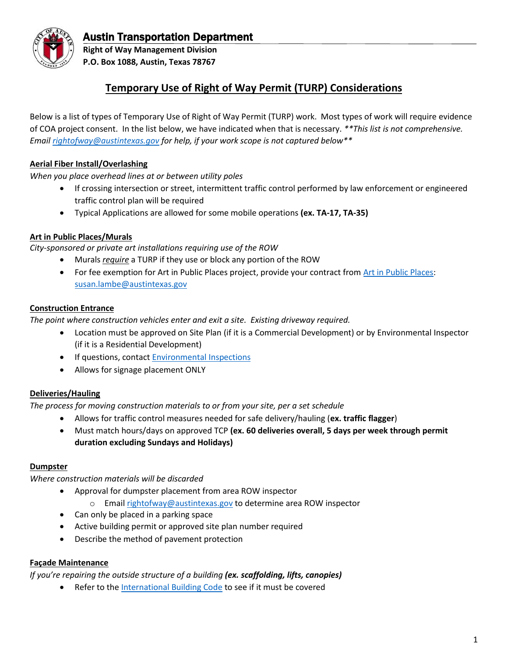

# Austin Transportation Department

**Right of Way Management Division P.O. Box 1088, Austin, Texas 78767**

# **Temporary Use of Right of Way Permit (TURP) Considerations**

Below is a list of types of Temporary Use of Right of Way Permit (TURP) work. Most types of work will require evidence of COA project consent. In the list below, we have indicated when that is necessary. *\*\*This list is not comprehensive. Email [rightofway@austintexas.gov](mailto:rightofway@austintexas.gov) for help, if your work scope is not captured below\*\**

# **Aerial Fiber Install/Overlashing**

*When you place overhead lines at or between utility poles*

- If crossing intersection or street, intermittent traffic control performed by law enforcement or engineered traffic control plan will be required
- Typical Applications are allowed for some mobile operations **(ex. TA-17, TA-35)**

### **Art in Public Places/Murals**

*City-sponsored or private art installations requiring use of the ROW*

- Murals *require* a TURP if they use or block any portion of the ROW
- For fee exemption for Art in Public Places project, provide your contract fro[m Art in Public Places:](http://www.austintexas.gov/department/art-public-places) [susan.lambe@austintexas.gov](mailto:susan.lambe@austintexas.gov)

#### **Construction Entrance**

*The point where construction vehicles enter and exit a site. Existing driveway required.*

- Location must be approved on Site Plan (if it is a Commercial Development) or by Environmental Inspector (if it is a Residential Development)
- If questions, contact [Environmental Inspections](http://www.austintexas.gov/page/environmental-inspections)
- Allows for signage placement ONLY

### **Deliveries/Hauling**

*The process for moving construction materials to or from your site, per a set schedule*

- Allows for traffic control measures needed for safe delivery/hauling (**ex. traffic flagger**)
- Must match hours/days on approved TCP **(ex. 60 deliveries overall, 5 days per week through permit duration excluding Sundays and Holidays)**

#### **Dumpster**

*Where construction materials will be discarded*

- Approval for dumpster placement from area ROW inspector
	- o Email [rightofway@austintexas.gov](mailto:rightofway@austintexas.gov) to determine area ROW inspector
- Can only be placed in a parking space
- Active building permit or approved site plan number required
- Describe the method of pavement protection

### **Façade Maintenance**

*If you're repairing the outside structure of a building (ex. scaffolding, lifts, canopies)*

• Refer to the [International Building Code](https://www.iccsafe.org/products-and-services/i-codes/2018-i-codes/ibc/) to see if it must be covered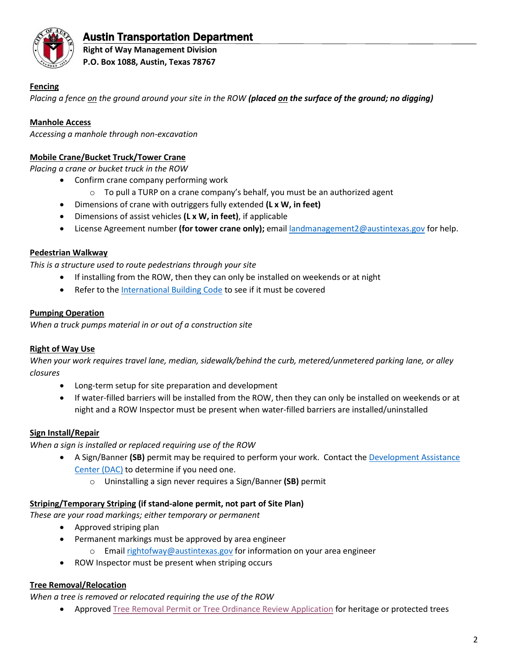

# Austin Transportation Department

**Right of Way Management Division P.O. Box 1088, Austin, Texas 78767**

# **Fencing**

*Placing a fence on the ground around your site in the ROW (placed on the surface of the ground; no digging)*

# **Manhole Access**

*Accessing a manhole through non-excavation*

# **Mobile Crane/Bucket Truck/Tower Crane**

*Placing a crane or bucket truck in the ROW* 

- Confirm crane company performing work
	- $\circ$  To pull a TURP on a crane company's behalf, you must be an authorized agent
- Dimensions of crane with outriggers fully extended **(L x W, in feet)**
- Dimensions of assist vehicles **(L x W, in feet)**, if applicable
- License Agreement number **(for tower crane only);** email [landmanagement2@austintexas.gov](mailto:landmanagement2@austintexas.gov) for help.

# **Pedestrian Walkway**

*This is a structure used to route pedestrians through your site*

- If installing from the ROW, then they can only be installed on weekends or at night
- Refer to the [International Building Code](https://www.iccsafe.org/products-and-services/i-codes/2018-i-codes/ibc/) to see if it must be covered

### **Pumping Operation**

*When a truck pumps material in or out of a construction site*

### **Right of Way Use**

*When your work requires travel lane, median, sidewalk/behind the curb, metered/unmetered parking lane, or alley closures*

- Long-term setup for site preparation and development
- If water-filled barriers will be installed from the ROW, then they can only be installed on weekends or at night and a ROW Inspector must be present when water-filled barriers are installed/uninstalled

# **Sign Install/Repair**

*When a sign is installed or replaced requiring use of the ROW*

- A Sign/Banner **(SB)** permit may be required to perform your work. Contact the [Development Assistance](https://www.austintexas.gov/department/development-assistance-center)  [Center \(DAC\)](https://www.austintexas.gov/department/development-assistance-center) to determine if you need one.
	- o Uninstalling a sign never requires a Sign/Banner **(SB)** permit

### **Striping/Temporary Striping (if stand-alone permit, not part of Site Plan)**

*These are your road markings; either temporary or permanent*

- Approved striping plan
- Permanent markings must be approved by area engineer
	- o Email [rightofway@austintexas.gov](mailto:rightofway@austintexas.gov) for information on your area engineer
- ROW Inspector must be present when striping occurs

### **Tree Removal/Relocation**

*When a tree is removed or relocated requiring the use of the ROW*

• Approved [Tree Removal Permit or Tree Ordinance Review Application](http://austintexas.gov/page/tree-reviews-and-permitting) for heritage or protected trees